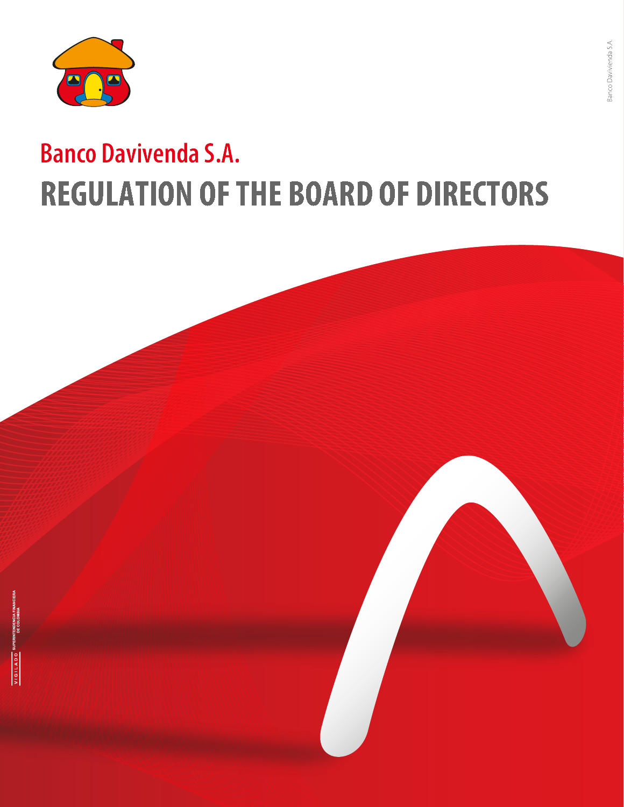

# **Banco Davivenda S.A. REGULATION OF THE BOARD OF DIRECTORS**

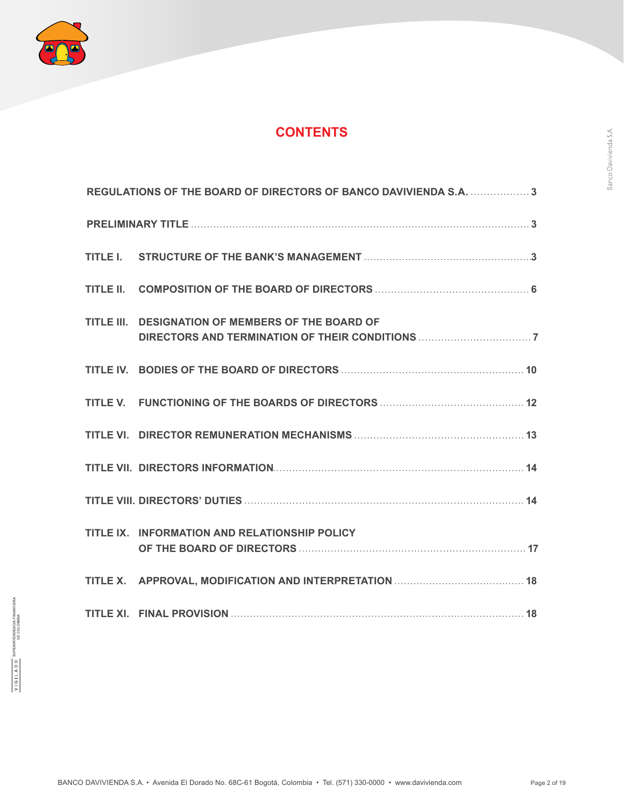

# **CONTENTS**

| REGULATIONS OF THE BOARD OF DIRECTORS OF BANCO DAVIVIENDA S.A. 3 |
|------------------------------------------------------------------|
|                                                                  |
|                                                                  |
|                                                                  |
| TITLE III. DESIGNATION OF MEMBERS OF THE BOARD OF                |
|                                                                  |
|                                                                  |
|                                                                  |
|                                                                  |
|                                                                  |
| TITLE IX. INFORMATION AND RELATIONSHIP POLICY                    |
|                                                                  |
|                                                                  |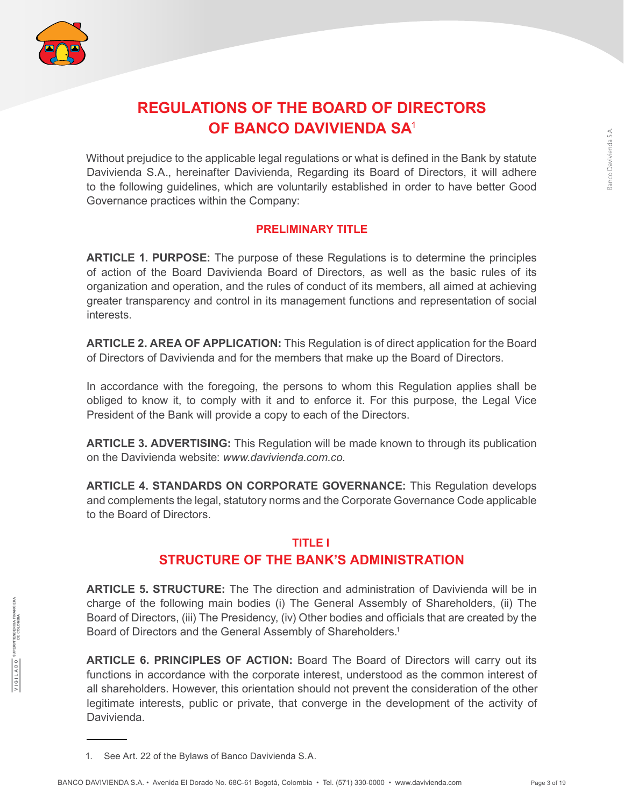

# **REGULATIONS OF THE BOARD OF DIRECTORS OF BANCO DAVIVIENDA SA**<sup>1</sup>

Without prejudice to the applicable legal regulations or what is defined in the Bank by statute Davivienda S.A., hereinafter Davivienda, Regarding its Board of Directors, it will adhere to the following guidelines, which are voluntarily established in order to have better Good Governance practices within the Company:

#### **PRELIMINARY TITLE**

**ARTICLE 1. PURPOSE:** The purpose of these Regulations is to determine the principles of action of the Board Davivienda Board of Directors, as well as the basic rules of its organization and operation, and the rules of conduct of its members, all aimed at achieving greater transparency and control in its management functions and representation of social interests.

**ARTICLE 2. AREA OF APPLICATION:** This Regulation is of direct application for the Board of Directors of Davivienda and for the members that make up the Board of Directors.

In accordance with the foregoing, the persons to whom this Regulation applies shall be obliged to know it, to comply with it and to enforce it. For this purpose, the Legal Vice President of the Bank will provide a copy to each of the Directors.

**ARTICLE 3. ADVERTISING:** This Regulation will be made known to through its publication on the Davivienda website: *www.davivienda.com.co.*

**ARTICLE 4. STANDARDS ON CORPORATE GOVERNANCE:** This Regulation develops and complements the legal, statutory norms and the Corporate Governance Code applicable to the Board of Directors.

### **TITLE I STRUCTURE OF THE BANK'S ADMINISTRATION**

**ARTICLE 5. STRUCTURE:** The The direction and administration of Davivienda will be in charge of the following main bodies (i) The General Assembly of Shareholders, (ii) The Board of Directors, (iii) The Presidency, (iv) Other bodies and officials that are created by the Board of Directors and the General Assembly of Shareholders.<sup>1</sup>

**ARTICLE 6. PRINCIPLES OF ACTION:** Board The Board of Directors will carry out its functions in accordance with the corporate interest, understood as the common interest of all shareholders. However, this orientation should not prevent the consideration of the other legitimate interests, public or private, that converge in the development of the activity of Davivienda.

<sup>1.</sup> See Art. 22 of the Bylaws of Banco Davivienda S.A.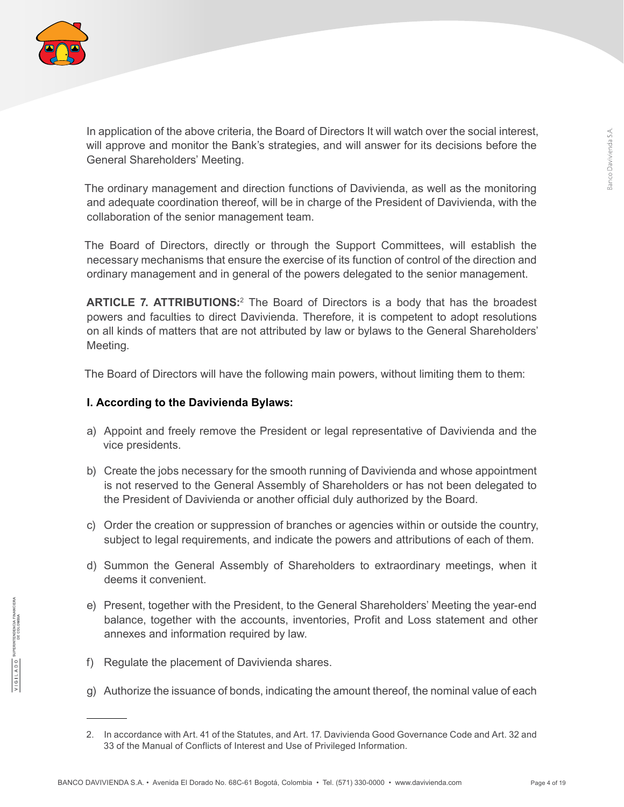

In application of the above criteria, the Board of Directors It will watch over the social interest, will approve and monitor the Bank's strategies, and will answer for its decisions before the General Shareholders' Meeting.

The ordinary management and direction functions of Davivienda, as well as the monitoring and adequate coordination thereof, will be in charge of the President of Davivienda, with the collaboration of the senior management team.

The Board of Directors, directly or through the Support Committees, will establish the necessary mechanisms that ensure the exercise of its function of control of the direction and ordinary management and in general of the powers delegated to the senior management.

**ARTICLE 7. ATTRIBUTIONS:**<sup>2</sup> The Board of Directors is a body that has the broadest powers and faculties to direct Davivienda. Therefore, it is competent to adopt resolutions on all kinds of matters that are not attributed by law or bylaws to the General Shareholders' Meeting.

The Board of Directors will have the following main powers, without limiting them to them:

#### **I. According to the Davivienda Bylaws:**

- a) Appoint and freely remove the President or legal representative of Davivienda and the vice presidents.
- b) Create the jobs necessary for the smooth running of Davivienda and whose appointment is not reserved to the General Assembly of Shareholders or has not been delegated to the President of Davivienda or another official duly authorized by the Board.
- c) Order the creation or suppression of branches or agencies within or outside the country, subject to legal requirements, and indicate the powers and attributions of each of them.
- d) Summon the General Assembly of Shareholders to extraordinary meetings, when it deems it convenient.
- e) Present, together with the President, to the General Shareholders' Meeting the year-end balance, together with the accounts, inventories, Profit and Loss statement and other annexes and information required by law.
- f) Regulate the placement of Davivienda shares.
- g) Authorize the issuance of bonds, indicating the amount thereof, the nominal value of each

<sup>2.</sup> In accordance with Art. 41 of the Statutes, and Art. 17. Davivienda Good Governance Code and Art. 32 and 33 of the Manual of Conflicts of Interest and Use of Privileged Information.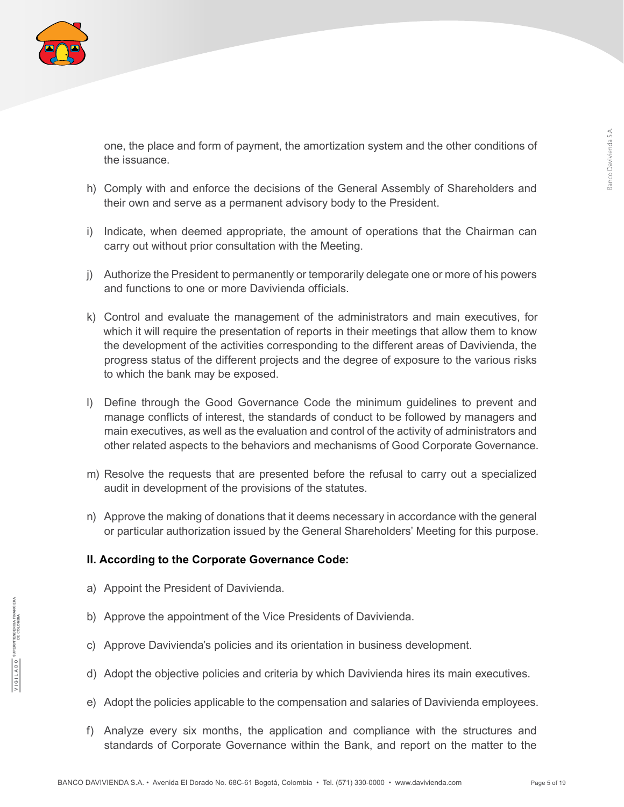

one, the place and form of payment, the amortization system and the other conditions of the issuance.

- h) Comply with and enforce the decisions of the General Assembly of Shareholders and their own and serve as a permanent advisory body to the President.
- i) Indicate, when deemed appropriate, the amount of operations that the Chairman can carry out without prior consultation with the Meeting.
- j) Authorize the President to permanently or temporarily delegate one or more of his powers and functions to one or more Davivienda officials.
- k) Control and evaluate the management of the administrators and main executives, for which it will require the presentation of reports in their meetings that allow them to know the development of the activities corresponding to the different areas of Davivienda, the progress status of the different projects and the degree of exposure to the various risks to which the bank may be exposed.
- l) Define through the Good Governance Code the minimum guidelines to prevent and manage conflicts of interest, the standards of conduct to be followed by managers and main executives, as well as the evaluation and control of the activity of administrators and other related aspects to the behaviors and mechanisms of Good Corporate Governance.
- m) Resolve the requests that are presented before the refusal to carry out a specialized audit in development of the provisions of the statutes.
- n) Approve the making of donations that it deems necessary in accordance with the general or particular authorization issued by the General Shareholders' Meeting for this purpose.

#### **II. According to the Corporate Governance Code:**

- a) Appoint the President of Davivienda.
- b) Approve the appointment of the Vice Presidents of Davivienda.
- c) Approve Davivienda's policies and its orientation in business development.
- d) Adopt the objective policies and criteria by which Davivienda hires its main executives.
- e) Adopt the policies applicable to the compensation and salaries of Davivienda employees.
- f) Analyze every six months, the application and compliance with the structures and standards of Corporate Governance within the Bank, and report on the matter to the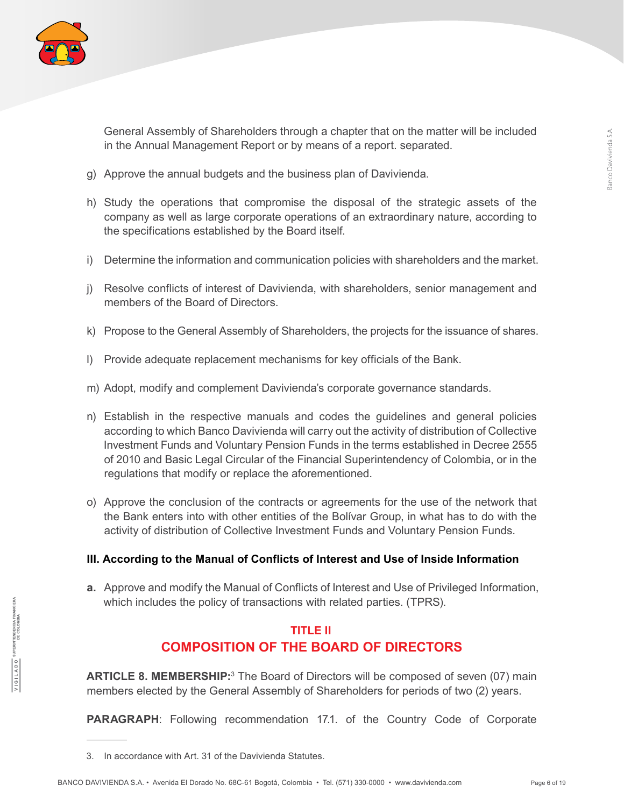

General Assembly of Shareholders through a chapter that on the matter will be included in the Annual Management Report or by means of a report. separated.

- g) Approve the annual budgets and the business plan of Davivienda.
- h) Study the operations that compromise the disposal of the strategic assets of the company as well as large corporate operations of an extraordinary nature, according to the specifications established by the Board itself.
- i) Determine the information and communication policies with shareholders and the market.
- j) Resolve conflicts of interest of Davivienda, with shareholders, senior management and members of the Board of Directors.
- k) Propose to the General Assembly of Shareholders, the projects for the issuance of shares.
- l) Provide adequate replacement mechanisms for key officials of the Bank.
- m) Adopt, modify and complement Davivienda's corporate governance standards.
- n) Establish in the respective manuals and codes the guidelines and general policies according to which Banco Davivienda will carry out the activity of distribution of Collective Investment Funds and Voluntary Pension Funds in the terms established in Decree 2555 of 2010 and Basic Legal Circular of the Financial Superintendency of Colombia, or in the regulations that modify or replace the aforementioned.
- o) Approve the conclusion of the contracts or agreements for the use of the network that the Bank enters into with other entities of the Bolívar Group, in what has to do with the activity of distribution of Collective Investment Funds and Voluntary Pension Funds.

#### **III. According to the Manual of Conflicts of Interest and Use of Inside Information**

**a.** Approve and modify the Manual of Conflicts of Interest and Use of Privileged Information, which includes the policy of transactions with related parties. (TPRS).

#### **TITLE II COMPOSITION OF THE BOARD OF DIRECTORS**

**ARTICLE 8. MEMBERSHIP:**<sup>3</sup> The Board of Directors will be composed of seven (07) main members elected by the General Assembly of Shareholders for periods of two (2) years.

**PARAGRAPH**: Following recommendation 17.1. of the Country Code of Corporate

<sup>3.</sup> In accordance with Art. 31 of the Davivienda Statutes.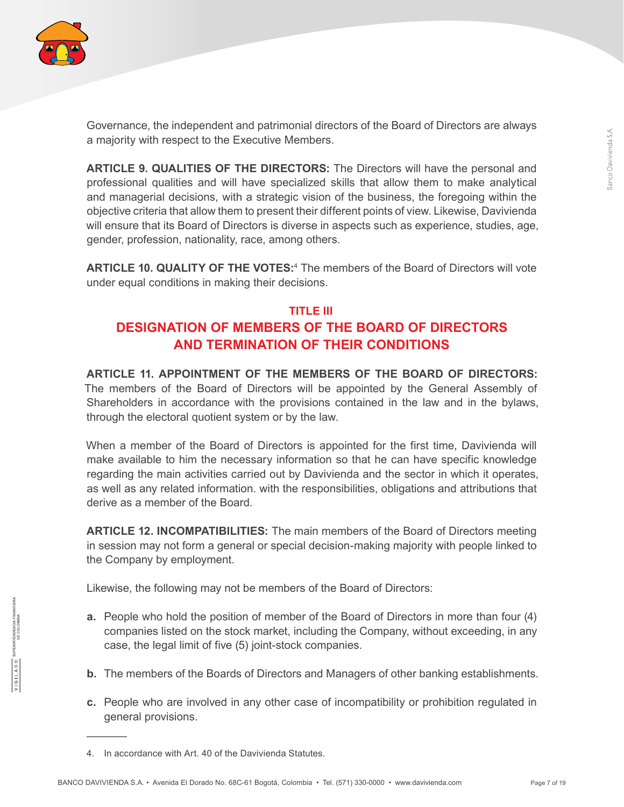

Governance, the independent and patrimonial directors of the Board of Directors are always a majority with respect to the Executive Members.

**ARTICLE 9. QUALITIES OF THE DIRECTORS:** The Directors will have the personal and professional qualities and will have specialized skills that allow them to make analytical and managerial decisions, with a strategic vision of the business, the foregoing within the objective criteria that allow them to present their different points of view. Likewise, Davivienda will ensure that its Board of Directors is diverse in aspects such as experience, studies, age, gender, profession, nationality, race, among others.

**ARTICLE 10. QUALITY OF THE VOTES:**<sup>4</sup> The members of the Board of Directors will vote under equal conditions in making their decisions.

# **TITLE III DESIGNATION OF MEMBERS OF THE BOARD OF DIRECTORS AND TERMINATION OF THEIR CONDITIONS**

**ARTICLE 11. APPOINTMENT OF THE MEMBERS OF THE BOARD OF DIRECTORS:** The members of the Board of Directors will be appointed by the General Assembly of Shareholders in accordance with the provisions contained in the law and in the bylaws, through the electoral quotient system or by the law.

When a member of the Board of Directors is appointed for the first time, Davivienda will make available to him the necessary information so that he can have specific knowledge regarding the main activities carried out by Davivienda and the sector in which it operates, as well as any related information. with the responsibilities, obligations and attributions that derive as a member of the Board.

**ARTICLE 12. INCOMPATIBILITIES:** The main members of the Board of Directors meeting in session may not form a general or special decision-making majority with people linked to the Company by employment.

Likewise, the following may not be members of the Board of Directors:

- **a.** People who hold the position of member of the Board of Directors in more than four (4) companies listed on the stock market, including the Company, without exceeding, in any case, the legal limit of five (5) joint-stock companies.
- **b.** The members of the Boards of Directors and Managers of other banking establishments.
- **c.** People who are involved in any other case of incompatibility or prohibition regulated in general provisions.

<sup>4.</sup> In accordance with Art. 40 of the Davivienda Statutes.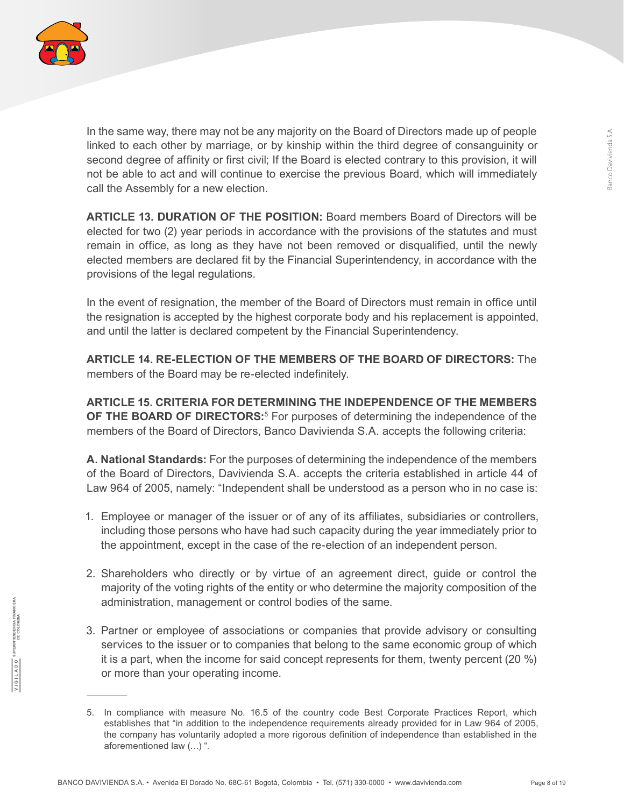

In the same way, there may not be any majority on the Board of Directors made up of people linked to each other by marriage, or by kinship within the third degree of consanguinity or second degree of affinity or first civil; If the Board is elected contrary to this provision, it will not be able to act and will continue to exercise the previous Board, which will immediately call the Assembly for a new election.

**ARTICLE 13. DURATION OF THE POSITION:** Board members Board of Directors will be elected for two (2) year periods in accordance with the provisions of the statutes and must remain in office, as long as they have not been removed or disqualified, until the newly elected members are declared fit by the Financial Superintendency, in accordance with the provisions of the legal regulations.

In the event of resignation, the member of the Board of Directors must remain in office until the resignation is accepted by the highest corporate body and his replacement is appointed, and until the latter is declared competent by the Financial Superintendency.

**ARTICLE 14. RE-ELECTION OF THE MEMBERS OF THE BOARD OF DIRECTORS:** The members of the Board may be re-elected indefinitely.

**ARTICLE 15. CRITERIA FOR DETERMINING THE INDEPENDENCE OF THE MEMBERS OF THE BOARD OF DIRECTORS:**<sup>5</sup> For purposes of determining the independence of the members of the Board of Directors, Banco Davivienda S.A. accepts the following criteria:

**A. National Standards:** For the purposes of determining the independence of the members of the Board of Directors, Davivienda S.A. accepts the criteria established in article 44 of Law 964 of 2005, namely: "Independent shall be understood as a person who in no case is:

- 1. Employee or manager of the issuer or of any of its affiliates, subsidiaries or controllers, including those persons who have had such capacity during the year immediately prior to the appointment, except in the case of the re-election of an independent person.
- 2. Shareholders who directly or by virtue of an agreement direct, guide or control the majority of the voting rights of the entity or who determine the majority composition of the administration, management or control bodies of the same.
- 3. Partner or employee of associations or companies that provide advisory or consulting services to the issuer or to companies that belong to the same economic group of which it is a part, when the income for said concept represents for them, twenty percent (20 %) or more than your operating income.

<sup>5.</sup> In compliance with measure No. 16.5 of the country code Best Corporate Practices Report, which establishes that "in addition to the independence requirements already provided for in Law 964 of 2005, the company has voluntarily adopted a more rigorous definition of independence than established in the aforementioned law (…) ".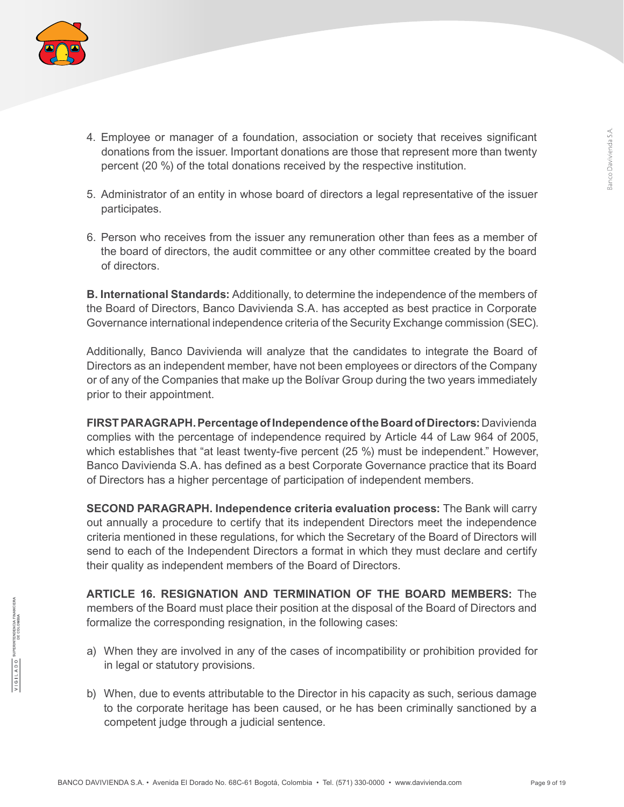

- 4. Employee or manager of a foundation, association or society that receives significant donations from the issuer. Important donations are those that represent more than twenty percent (20 %) of the total donations received by the respective institution.
- 5. Administrator of an entity in whose board of directors a legal representative of the issuer participates.
- 6. Person who receives from the issuer any remuneration other than fees as a member of the board of directors, the audit committee or any other committee created by the board of directors.

**B. International Standards:** Additionally, to determine the independence of the members of the Board of Directors, Banco Davivienda S.A. has accepted as best practice in Corporate Governance international independence criteria of the Security Exchange commission (SEC).

Additionally, Banco Davivienda will analyze that the candidates to integrate the Board of Directors as an independent member, have not been employees or directors of the Company or of any of the Companies that make up the Bolívar Group during the two years immediately prior to their appointment.

**FIRST PARAGRAPH. Percentage of Independence of the Board of Directors:** Davivienda complies with the percentage of independence required by Article 44 of Law 964 of 2005, which establishes that "at least twenty-five percent (25 %) must be independent." However, Banco Davivienda S.A. has defined as a best Corporate Governance practice that its Board of Directors has a higher percentage of participation of independent members.

**SECOND PARAGRAPH. Independence criteria evaluation process:** The Bank will carry out annually a procedure to certify that its independent Directors meet the independence criteria mentioned in these regulations, for which the Secretary of the Board of Directors will send to each of the Independent Directors a format in which they must declare and certify their quality as independent members of the Board of Directors.

**ARTICLE 16. RESIGNATION AND TERMINATION OF THE BOARD MEMBERS:** The members of the Board must place their position at the disposal of the Board of Directors and formalize the corresponding resignation, in the following cases:

- a) When they are involved in any of the cases of incompatibility or prohibition provided for in legal or statutory provisions.
- b) When, due to events attributable to the Director in his capacity as such, serious damage to the corporate heritage has been caused, or he has been criminally sanctioned by a competent judge through a judicial sentence.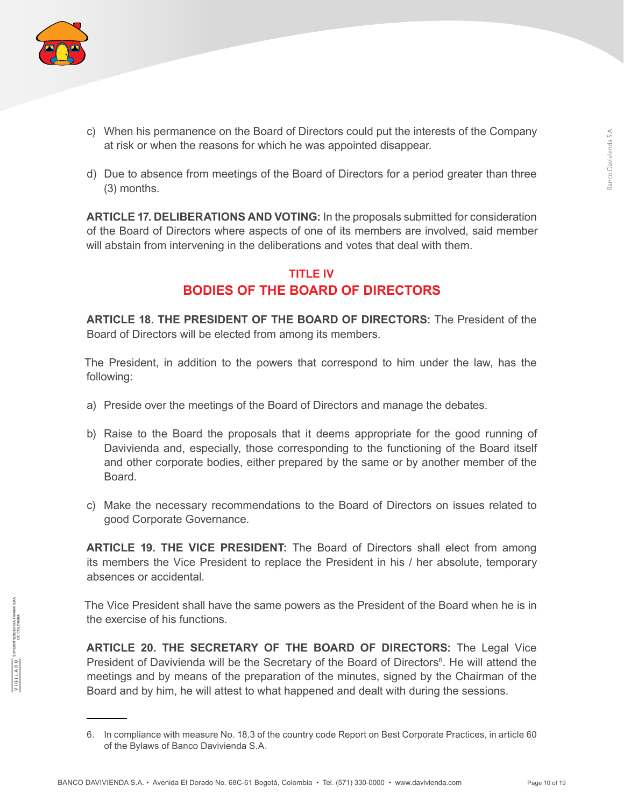

- c) When his permanence on the Board of Directors could put the interests of the Company at risk or when the reasons for which he was appointed disappear.
- d) Due to absence from meetings of the Board of Directors for a period greater than three (3) months.

**ARTICLE 17. DELIBERATIONS AND VOTING:** In the proposals submitted for consideration of the Board of Directors where aspects of one of its members are involved, said member will abstain from intervening in the deliberations and votes that deal with them.

### **TITLE IV BODIES OF THE BOARD OF DIRECTORS**

**ARTICLE 18. THE PRESIDENT OF THE BOARD OF DIRECTORS:** The President of the Board of Directors will be elected from among its members.

The President, in addition to the powers that correspond to him under the law, has the following:

- a) Preside over the meetings of the Board of Directors and manage the debates.
- b) Raise to the Board the proposals that it deems appropriate for the good running of Davivienda and, especially, those corresponding to the functioning of the Board itself and other corporate bodies, either prepared by the same or by another member of the Board.
- c) Make the necessary recommendations to the Board of Directors on issues related to good Corporate Governance.

**ARTICLE 19. THE VICE PRESIDENT:** The Board of Directors shall elect from among its members the Vice President to replace the President in his / her absolute, temporary absences or accidental.

The Vice President shall have the same powers as the President of the Board when he is in the exercise of his functions.

**ARTICLE 20. THE SECRETARY OF THE BOARD OF DIRECTORS:** The Legal Vice President of Davivienda will be the Secretary of the Board of Directors<sup>6</sup>. He will attend the meetings and by means of the preparation of the minutes, signed by the Chairman of the Board and by him, he will attest to what happened and dealt with during the sessions.

<sup>6.</sup> In compliance with measure No. 18.3 of the country code Report on Best Corporate Practices, in article 60 of the Bylaws of Banco Davivienda S.A.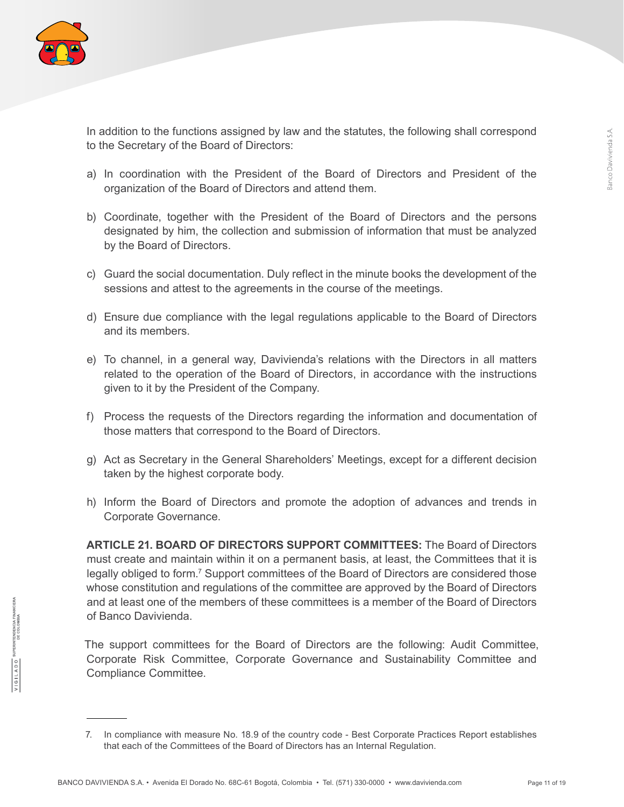

In addition to the functions assigned by law and the statutes, the following shall correspond to the Secretary of the Board of Directors:

- a) In coordination with the President of the Board of Directors and President of the organization of the Board of Directors and attend them.
- b) Coordinate, together with the President of the Board of Directors and the persons designated by him, the collection and submission of information that must be analyzed by the Board of Directors.
- c) Guard the social documentation. Duly reflect in the minute books the development of the sessions and attest to the agreements in the course of the meetings.
- d) Ensure due compliance with the legal regulations applicable to the Board of Directors and its members.
- e) To channel, in a general way, Davivienda's relations with the Directors in all matters related to the operation of the Board of Directors, in accordance with the instructions given to it by the President of the Company.
- f) Process the requests of the Directors regarding the information and documentation of those matters that correspond to the Board of Directors.
- g) Act as Secretary in the General Shareholders' Meetings, except for a different decision taken by the highest corporate body.
- h) Inform the Board of Directors and promote the adoption of advances and trends in Corporate Governance.

**ARTICLE 21. BOARD OF DIRECTORS SUPPORT COMMITTEES:** The Board of Directors must create and maintain within it on a permanent basis, at least, the Committees that it is legally obliged to form.<sup>7</sup> Support committees of the Board of Directors are considered those whose constitution and regulations of the committee are approved by the Board of Directors and at least one of the members of these committees is a member of the Board of Directors of Banco Davivienda.

The support committees for the Board of Directors are the following: Audit Committee, Corporate Risk Committee, Corporate Governance and Sustainability Committee and Compliance Committee.

<sup>7.</sup> In compliance with measure No. 18.9 of the country code - Best Corporate Practices Report establishes that each of the Committees of the Board of Directors has an Internal Regulation.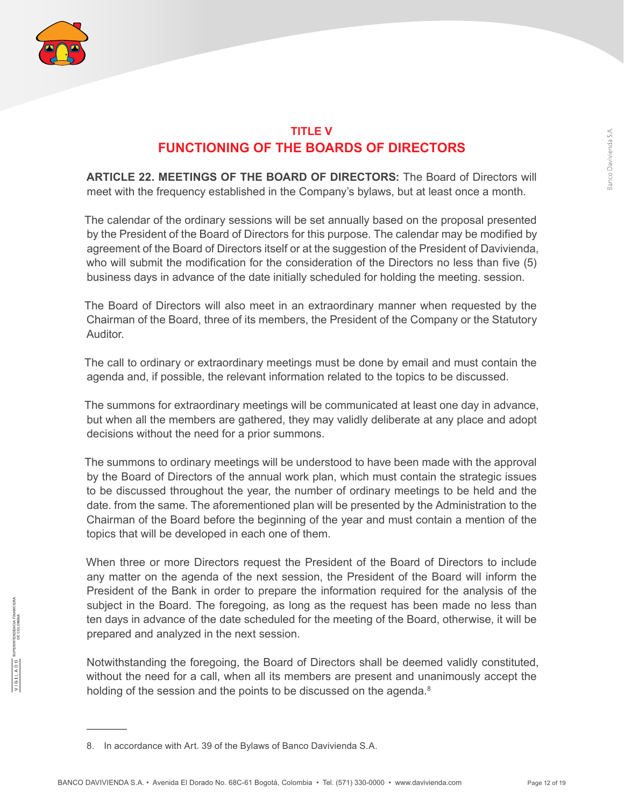

### **TITLE V FUNCTIONING OF THE BOARDS OF DIRECTORS**

**ARTICLE 22. MEETINGS OF THE BOARD OF DIRECTORS:** The Board of Directors will meet with the frequency established in the Company's bylaws, but at least once a month.

The calendar of the ordinary sessions will be set annually based on the proposal presented by the President of the Board of Directors for this purpose. The calendar may be modified by agreement of the Board of Directors itself or at the suggestion of the President of Davivienda, who will submit the modification for the consideration of the Directors no less than five (5) business days in advance of the date initially scheduled for holding the meeting. session.

The Board of Directors will also meet in an extraordinary manner when requested by the Chairman of the Board, three of its members, the President of the Company or the Statutory Auditor.

The call to ordinary or extraordinary meetings must be done by email and must contain the agenda and, if possible, the relevant information related to the topics to be discussed.

The summons for extraordinary meetings will be communicated at least one day in advance, but when all the members are gathered, they may validly deliberate at any place and adopt decisions without the need for a prior summons.

The summons to ordinary meetings will be understood to have been made with the approval by the Board of Directors of the annual work plan, which must contain the strategic issues to be discussed throughout the year, the number of ordinary meetings to be held and the date. from the same. The aforementioned plan will be presented by the Administration to the Chairman of the Board before the beginning of the year and must contain a mention of the topics that will be developed in each one of them.

When three or more Directors request the President of the Board of Directors to include any matter on the agenda of the next session, the President of the Board will inform the President of the Bank in order to prepare the information required for the analysis of the subject in the Board. The foregoing, as long as the request has been made no less than ten days in advance of the date scheduled for the meeting of the Board, otherwise, it will be prepared and analyzed in the next session.

Notwithstanding the foregoing, the Board of Directors shall be deemed validly constituted, without the need for a call, when all its members are present and unanimously accept the holding of the session and the points to be discussed on the agenda.<sup>8</sup>

<sup>8.</sup> In accordance with Art. 39 of the Bylaws of Banco Davivienda S.A.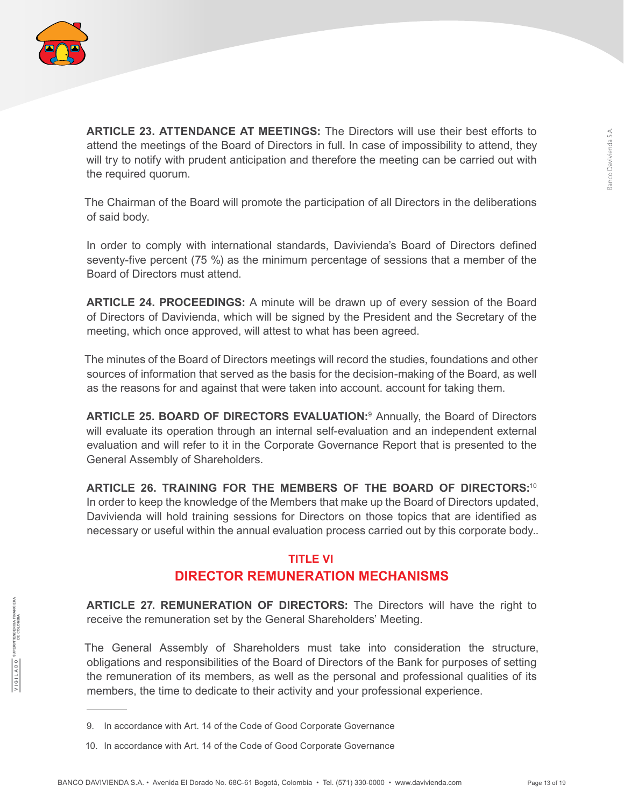

**ARTICLE 23. ATTENDANCE AT MEETINGS:** The Directors will use their best efforts to attend the meetings of the Board of Directors in full. In case of impossibility to attend, they will try to notify with prudent anticipation and therefore the meeting can be carried out with the required quorum.

The Chairman of the Board will promote the participation of all Directors in the deliberations of said body.

In order to comply with international standards, Davivienda's Board of Directors defined seventy-five percent (75 %) as the minimum percentage of sessions that a member of the Board of Directors must attend.

**ARTICLE 24. PROCEEDINGS:** A minute will be drawn up of every session of the Board of Directors of Davivienda, which will be signed by the President and the Secretary of the meeting, which once approved, will attest to what has been agreed.

The minutes of the Board of Directors meetings will record the studies, foundations and other sources of information that served as the basis for the decision-making of the Board, as well as the reasons for and against that were taken into account. account for taking them.

**ARTICLE 25. BOARD OF DIRECTORS EVALUATION:**<sup>9</sup> Annually, the Board of Directors will evaluate its operation through an internal self-evaluation and an independent external evaluation and will refer to it in the Corporate Governance Report that is presented to the General Assembly of Shareholders.

**ARTICLE 26. TRAINING FOR THE MEMBERS OF THE BOARD OF DIRECTORS:**<sup>10</sup> In order to keep the knowledge of the Members that make up the Board of Directors updated, Davivienda will hold training sessions for Directors on those topics that are identified as necessary or useful within the annual evaluation process carried out by this corporate body..

#### **TITLE VI**

## **DIRECTOR REMUNERATION MECHANISMS**

**ARTICLE 27. REMUNERATION OF DIRECTORS:** The Directors will have the right to receive the remuneration set by the General Shareholders' Meeting.

The General Assembly of Shareholders must take into consideration the structure, obligations and responsibilities of the Board of Directors of the Bank for purposes of setting the remuneration of its members, as well as the personal and professional qualities of its members, the time to dedicate to their activity and your professional experience.

10. In accordance with Art. 14 of the Code of Good Corporate Governance

<sup>9.</sup> In accordance with Art. 14 of the Code of Good Corporate Governance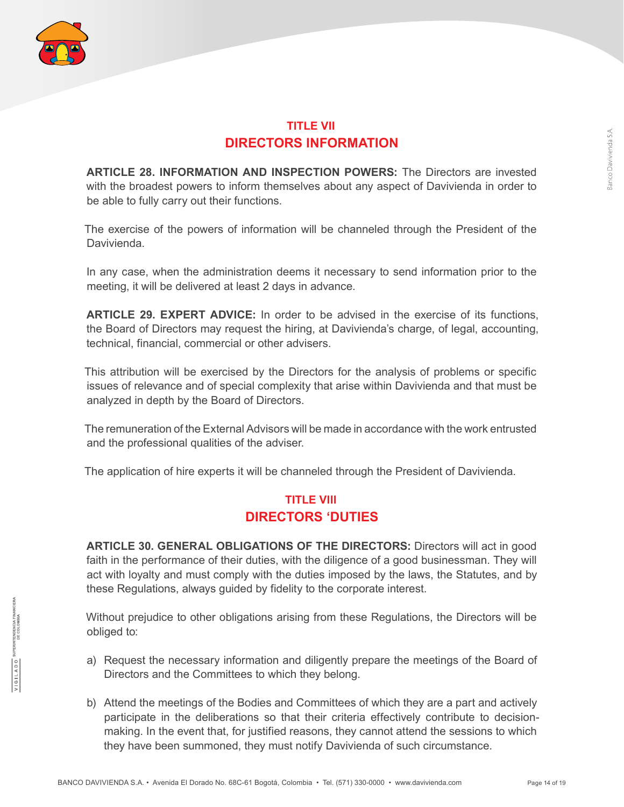

### **TITLE VII DIRECTORS INFORMATION**

**ARTICLE 28. INFORMATION AND INSPECTION POWERS:** The Directors are invested with the broadest powers to inform themselves about any aspect of Davivienda in order to be able to fully carry out their functions.

The exercise of the powers of information will be channeled through the President of the Davivienda.

In any case, when the administration deems it necessary to send information prior to the meeting, it will be delivered at least 2 days in advance.

**ARTICLE 29. EXPERT ADVICE:** In order to be advised in the exercise of its functions, the Board of Directors may request the hiring, at Davivienda's charge, of legal, accounting, technical, financial, commercial or other advisers.

This attribution will be exercised by the Directors for the analysis of problems or specific issues of relevance and of special complexity that arise within Davivienda and that must be analyzed in depth by the Board of Directors.

The remuneration of the External Advisors will be made in accordance with the work entrusted and the professional qualities of the adviser.

The application of hire experts it will be channeled through the President of Davivienda.

#### **TITLE VIII DIRECTORS 'DUTIES**

**ARTICLE 30. GENERAL OBLIGATIONS OF THE DIRECTORS:** Directors will act in good faith in the performance of their duties, with the diligence of a good businessman. They will act with loyalty and must comply with the duties imposed by the laws, the Statutes, and by these Regulations, always guided by fidelity to the corporate interest.

Without prejudice to other obligations arising from these Regulations, the Directors will be obliged to:

- a) Request the necessary information and diligently prepare the meetings of the Board of Directors and the Committees to which they belong.
- b) Attend the meetings of the Bodies and Committees of which they are a part and actively participate in the deliberations so that their criteria effectively contribute to decisionmaking. In the event that, for justified reasons, they cannot attend the sessions to which they have been summoned, they must notify Davivienda of such circumstance.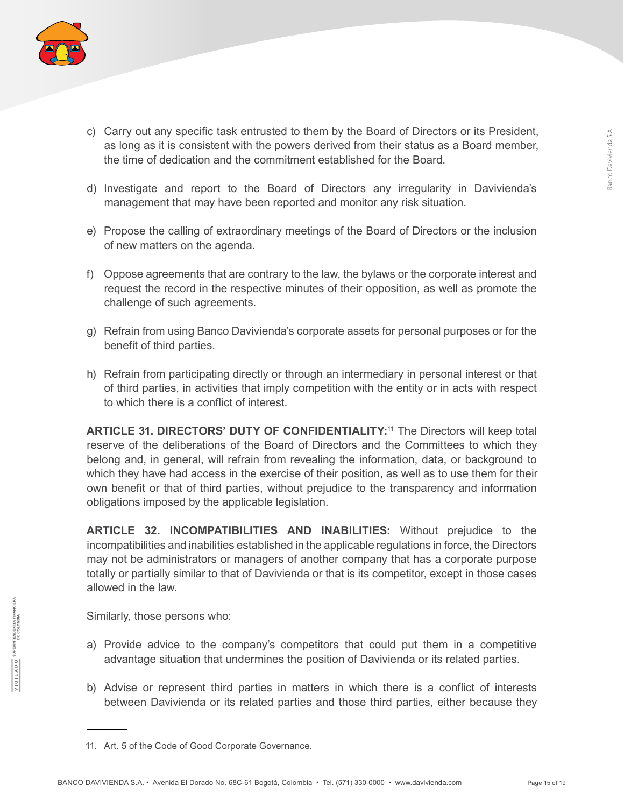

- c) Carry out any specific task entrusted to them by the Board of Directors or its President, as long as it is consistent with the powers derived from their status as a Board member, the time of dedication and the commitment established for the Board.
- d) Investigate and report to the Board of Directors any irregularity in Davivienda's management that may have been reported and monitor any risk situation.
- e) Propose the calling of extraordinary meetings of the Board of Directors or the inclusion of new matters on the agenda.
- f) Oppose agreements that are contrary to the law, the bylaws or the corporate interest and request the record in the respective minutes of their opposition, as well as promote the challenge of such agreements.
- g) Refrain from using Banco Davivienda's corporate assets for personal purposes or for the benefit of third parties.
- h) Refrain from participating directly or through an intermediary in personal interest or that of third parties, in activities that imply competition with the entity or in acts with respect to which there is a conflict of interest.

**ARTICLE 31. DIRECTORS' DUTY OF CONFIDENTIALITY:**<sup>11</sup> The Directors will keep total reserve of the deliberations of the Board of Directors and the Committees to which they belong and, in general, will refrain from revealing the information, data, or background to which they have had access in the exercise of their position, as well as to use them for their own benefit or that of third parties, without prejudice to the transparency and information obligations imposed by the applicable legislation.

**ARTICLE 32. INCOMPATIBILITIES AND INABILITIES:** Without prejudice to the incompatibilities and inabilities established in the applicable regulations in force, the Directors may not be administrators or managers of another company that has a corporate purpose totally or partially similar to that of Davivienda or that is its competitor, except in those cases allowed in the law.

Similarly, those persons who:

- a) Provide advice to the company's competitors that could put them in a competitive advantage situation that undermines the position of Davivienda or its related parties.
- b) Advise or represent third parties in matters in which there is a conflict of interests between Davivienda or its related parties and those third parties, either because they

<sup>11.</sup> Art. 5 of the Code of Good Corporate Governance.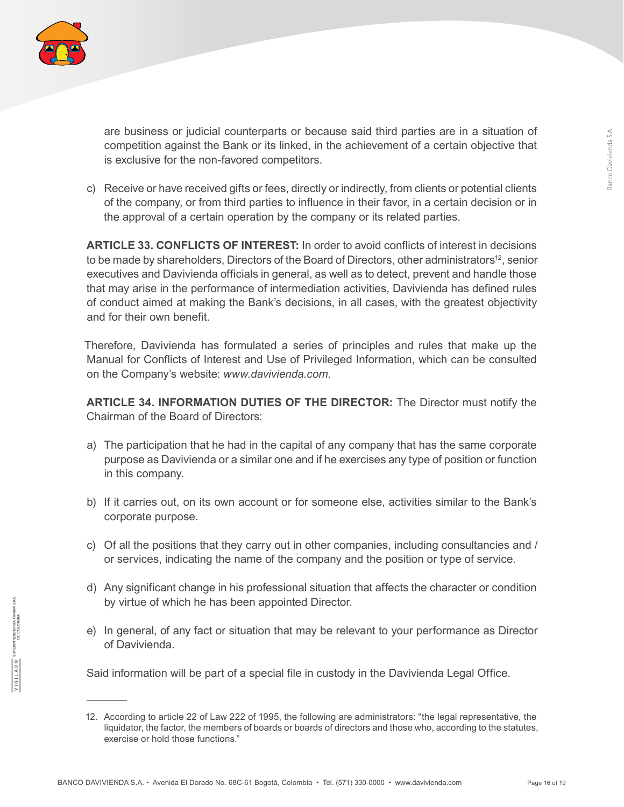

are business or judicial counterparts or because said third parties are in a situation of competition against the Bank or its linked, in the achievement of a certain objective that is exclusive for the non-favored competitors.

c) Receive or have received gifts or fees, directly or indirectly, from clients or potential clients of the company, or from third parties to influence in their favor, in a certain decision or in the approval of a certain operation by the company or its related parties.

**ARTICLE 33. CONFLICTS OF INTEREST:** In order to avoid conflicts of interest in decisions to be made by shareholders, Directors of the Board of Directors, other administrators<sup>12</sup>, senior executives and Davivienda officials in general, as well as to detect, prevent and handle those that may arise in the performance of intermediation activities, Davivienda has defined rules of conduct aimed at making the Bank's decisions, in all cases, with the greatest objectivity and for their own benefit.

Therefore, Davivienda has formulated a series of principles and rules that make up the Manual for Conflicts of Interest and Use of Privileged Information, which can be consulted on the Company's website: *www.davivienda.com.*

**ARTICLE 34. INFORMATION DUTIES OF THE DIRECTOR:** The Director must notify the Chairman of the Board of Directors:

- a) The participation that he had in the capital of any company that has the same corporate purpose as Davivienda or a similar one and if he exercises any type of position or function in this company.
- b) If it carries out, on its own account or for someone else, activities similar to the Bank's corporate purpose.
- c) Of all the positions that they carry out in other companies, including consultancies and / or services, indicating the name of the company and the position or type of service.
- d) Any significant change in his professional situation that affects the character or condition by virtue of which he has been appointed Director.
- e) In general, of any fact or situation that may be relevant to your performance as Director of Davivienda.

Said information will be part of a special file in custody in the Davivienda Legal Office.

<sup>12.</sup> According to article 22 of Law 222 of 1995, the following are administrators: "the legal representative, the liquidator, the factor, the members of boards or boards of directors and those who, according to the statutes, exercise or hold those functions."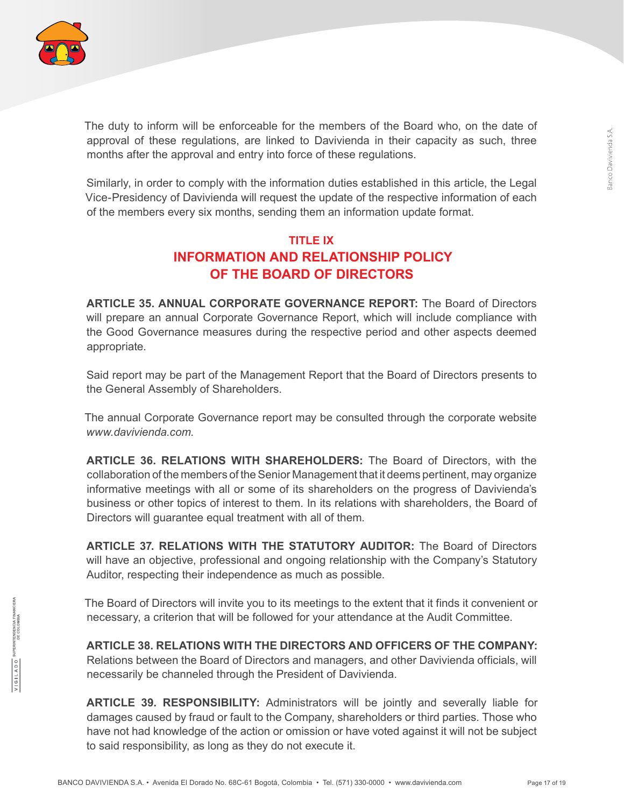

The duty to inform will be enforceable for the members of the Board who, on the date of approval of these regulations, are linked to Davivienda in their capacity as such, three months after the approval and entry into force of these regulations.

Similarly, in order to comply with the information duties established in this article, the Legal Vice-Presidency of Davivienda will request the update of the respective information of each of the members every six months, sending them an information update format.

# **TITLE IX INFORMATION AND RELATIONSHIP POLICY OF THE BOARD OF DIRECTORS**

**ARTICLE 35. ANNUAL CORPORATE GOVERNANCE REPORT:** The Board of Directors will prepare an annual Corporate Governance Report, which will include compliance with the Good Governance measures during the respective period and other aspects deemed appropriate.

Said report may be part of the Management Report that the Board of Directors presents to the General Assembly of Shareholders.

The annual Corporate Governance report may be consulted through the corporate website *www.davivienda.com.*

**ARTICLE 36. RELATIONS WITH SHAREHOLDERS:** The Board of Directors, with the collaboration of the members of the Senior Management that it deems pertinent, may organize informative meetings with all or some of its shareholders on the progress of Davivienda's business or other topics of interest to them. In its relations with shareholders, the Board of Directors will guarantee equal treatment with all of them.

**ARTICLE 37. RELATIONS WITH THE STATUTORY AUDITOR:** The Board of Directors will have an objective, professional and ongoing relationship with the Company's Statutory Auditor, respecting their independence as much as possible.

The Board of Directors will invite you to its meetings to the extent that it finds it convenient or necessary, a criterion that will be followed for your attendance at the Audit Committee.

**ARTICLE 38. RELATIONS WITH THE DIRECTORS AND OFFICERS OF THE COMPANY:** Relations between the Board of Directors and managers, and other Davivienda officials, will necessarily be channeled through the President of Davivienda.

**ARTICLE 39. RESPONSIBILITY:** Administrators will be jointly and severally liable for damages caused by fraud or fault to the Company, shareholders or third parties. Those who have not had knowledge of the action or omission or have voted against it will not be subject to said responsibility, as long as they do not execute it.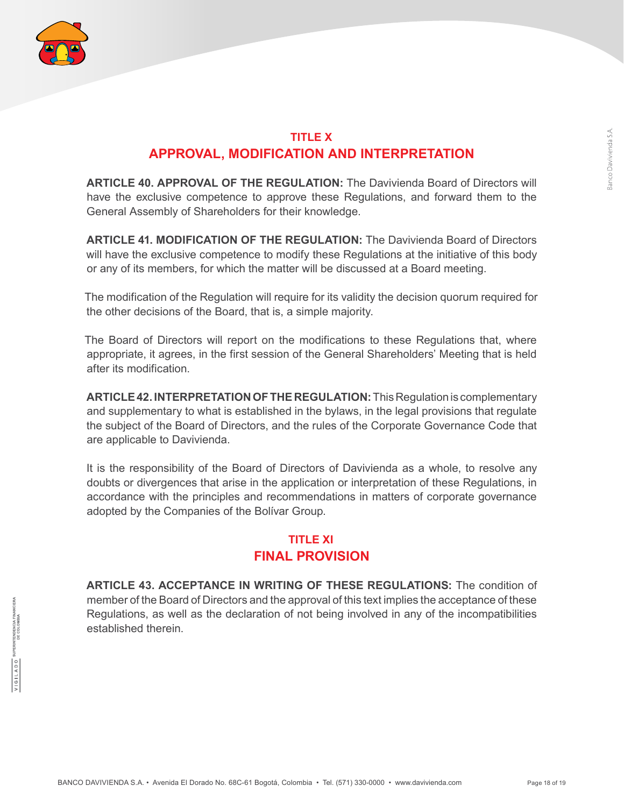

#### **TITLE X APPROVAL, MODIFICATION AND INTERPRETATION**

**ARTICLE 40. APPROVAL OF THE REGULATION:** The Davivienda Board of Directors will have the exclusive competence to approve these Regulations, and forward them to the General Assembly of Shareholders for their knowledge.

**ARTICLE 41. MODIFICATION OF THE REGULATION:** The Davivienda Board of Directors will have the exclusive competence to modify these Regulations at the initiative of this body or any of its members, for which the matter will be discussed at a Board meeting.

The modification of the Regulation will require for its validity the decision quorum required for the other decisions of the Board, that is, a simple majority.

The Board of Directors will report on the modifications to these Regulations that, where appropriate, it agrees, in the first session of the General Shareholders' Meeting that is held after its modification.

**ARTICLE 42. INTERPRETATION OF THE REGULATION:**This Regulation is complementary and supplementary to what is established in the bylaws, in the legal provisions that regulate the subject of the Board of Directors, and the rules of the Corporate Governance Code that are applicable to Davivienda.

It is the responsibility of the Board of Directors of Davivienda as a whole, to resolve any doubts or divergences that arise in the application or interpretation of these Regulations, in accordance with the principles and recommendations in matters of corporate governance adopted by the Companies of the Bolívar Group.

### **TITLE XI FINAL PROVISION**

**ARTICLE 43. ACCEPTANCE IN WRITING OF THESE REGULATIONS:** The condition of member of the Board of Directors and the approval of this text implies the acceptance of these Regulations, as well as the declaration of not being involved in any of the incompatibilities established therein.